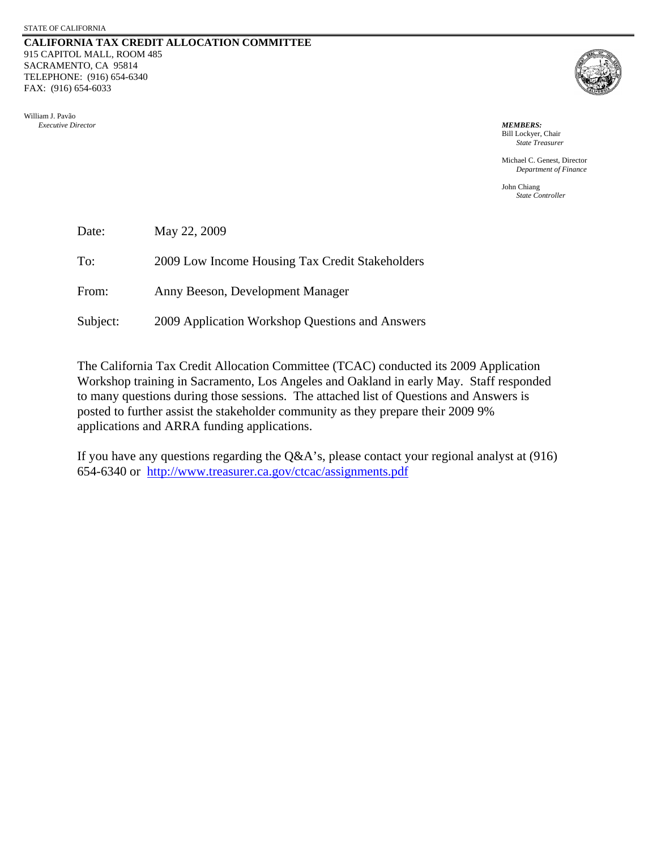#### **CALIFORNIA TAX CREDIT ALLOCATION COMMITTEE** 915 CAPITOL MALL, ROOM 485 SACRAMENTO, CA 95814 TELEPHONE: (916) 654-6340 FAX: (916) 654-6033





 Bill Lockyer, Chair *State Treasurer*

 Michael C. Genest, Director *Department of Finance* 

 John Chiang *State Controller*

| Date:    | May 22, 2009                                    |
|----------|-------------------------------------------------|
| To:      | 2009 Low Income Housing Tax Credit Stakeholders |
| From:    | Anny Beeson, Development Manager                |
| Subject: | 2009 Application Workshop Questions and Answers |

The California Tax Credit Allocation Committee (TCAC) conducted its 2009 Application Workshop training in Sacramento, Los Angeles and Oakland in early May. Staff responded to many questions during those sessions. The attached list of Questions and Answers is posted to further assist the stakeholder community as they prepare their 2009 9% applications and ARRA funding applications.

If you have any questions regarding the Q&A's, please contact your regional analyst at (916) 654-6340 or <http://www.treasurer.ca.gov/ctcac/assignments.pdf>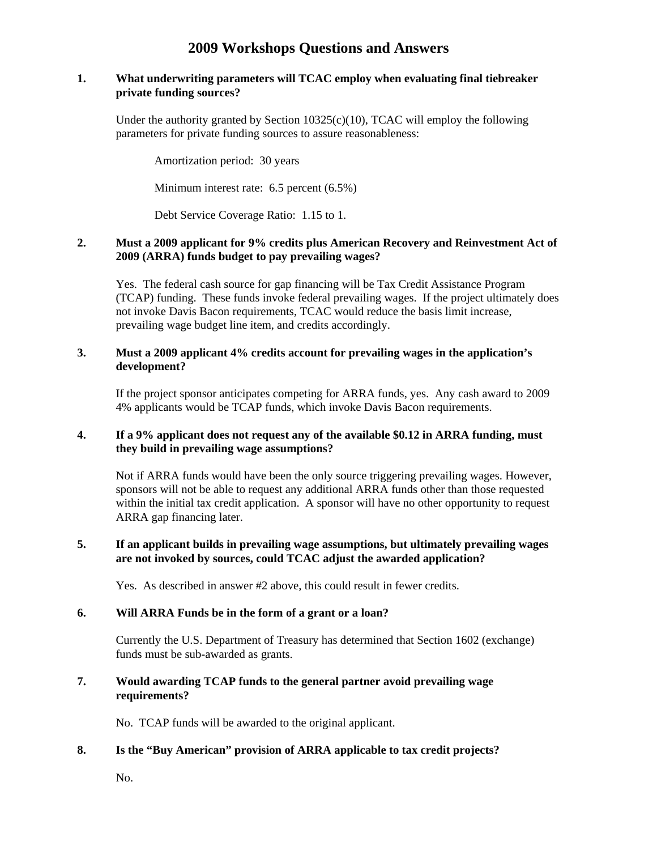# **2009 Workshops Questions and Answers**

#### **1. What underwriting parameters will TCAC employ when evaluating final tiebreaker private funding sources?**

Under the authority granted by Section  $10325(c)(10)$ , TCAC will employ the following parameters for private funding sources to assure reasonableness:

Amortization period: 30 years

Minimum interest rate: 6.5 percent (6.5%)

Debt Service Coverage Ratio: 1.15 to 1.

### **2. Must a 2009 applicant for 9% credits plus American Recovery and Reinvestment Act of 2009 (ARRA) funds budget to pay prevailing wages?**

Yes. The federal cash source for gap financing will be Tax Credit Assistance Program (TCAP) funding. These funds invoke federal prevailing wages. If the project ultimately does not invoke Davis Bacon requirements, TCAC would reduce the basis limit increase, prevailing wage budget line item, and credits accordingly.

#### **3. Must a 2009 applicant 4% credits account for prevailing wages in the application's development?**

If the project sponsor anticipates competing for ARRA funds, yes. Any cash award to 2009 4% applicants would be TCAP funds, which invoke Davis Bacon requirements.

#### **4. If a 9% applicant does not request any of the available \$0.12 in ARRA funding, must they build in prevailing wage assumptions?**

Not if ARRA funds would have been the only source triggering prevailing wages. However, sponsors will not be able to request any additional ARRA funds other than those requested within the initial tax credit application. A sponsor will have no other opportunity to request ARRA gap financing later.

### **5. If an applicant builds in prevailing wage assumptions, but ultimately prevailing wages are not invoked by sources, could TCAC adjust the awarded application?**

Yes. As described in answer #2 above, this could result in fewer credits.

#### **6. Will ARRA Funds be in the form of a grant or a loan?**

Currently the U.S. Department of Treasury has determined that Section 1602 (exchange) funds must be sub-awarded as grants.

#### **7. Would awarding TCAP funds to the general partner avoid prevailing wage requirements?**

No. TCAP funds will be awarded to the original applicant.

#### **8. Is the "Buy American" provision of ARRA applicable to tax credit projects?**

No.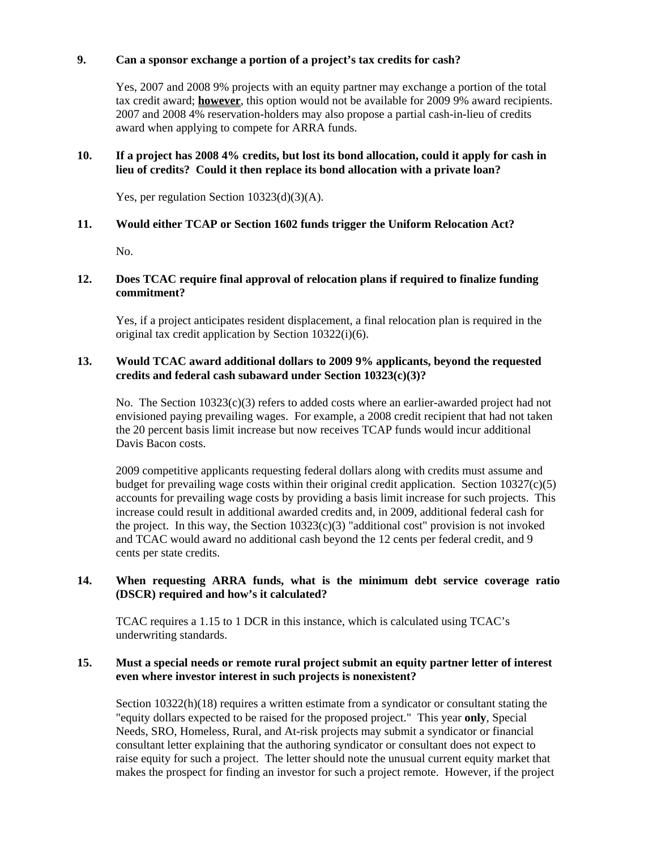### **9. Can a sponsor exchange a portion of a project's tax credits for cash?**

Yes, 2007 and 2008 9% projects with an equity partner may exchange a portion of the total tax credit award; **however**, this option would not be available for 2009 9% award recipients. 2007 and 2008 4% reservation-holders may also propose a partial cash-in-lieu of credits award when applying to compete for ARRA funds.

### **10. If a project has 2008 4% credits, but lost its bond allocation, could it apply for cash in lieu of credits? Could it then replace its bond allocation with a private loan?**

Yes, per regulation Section 10323(d)(3)(A).

### **11. Would either TCAP or Section 1602 funds trigger the Uniform Relocation Act?**

No.

### **12. Does TCAC require final approval of relocation plans if required to finalize funding commitment?**

Yes, if a project anticipates resident displacement, a final relocation plan is required in the original tax credit application by Section 10322(i)(6).

#### **13. Would TCAC award additional dollars to 2009 9% applicants, beyond the requested credits and federal cash subaward under Section 10323(c)(3)?**

No. The Section  $10323(c)(3)$  refers to added costs where an earlier-awarded project had not envisioned paying prevailing wages. For example, a 2008 credit recipient that had not taken the 20 percent basis limit increase but now receives TCAP funds would incur additional Davis Bacon costs.

2009 competitive applicants requesting federal dollars along with credits must assume and budget for prevailing wage costs within their original credit application. Section 10327(c)(5) accounts for prevailing wage costs by providing a basis limit increase for such projects. This increase could result in additional awarded credits and, in 2009, additional federal cash for the project. In this way, the Section  $10323(c)(3)$  "additional cost" provision is not invoked and TCAC would award no additional cash beyond the 12 cents per federal credit, and 9 cents per state credits.

### **14. When requesting ARRA funds, what is the minimum debt service coverage ratio (DSCR) required and how's it calculated?**

TCAC requires a 1.15 to 1 DCR in this instance, which is calculated using TCAC's underwriting standards.

#### **15. Must a special needs or remote rural project submit an equity partner letter of interest even where investor interest in such projects is nonexistent?**

Section  $10322(h)(18)$  requires a written estimate from a syndicator or consultant stating the "equity dollars expected to be raised for the proposed project." This year **only**, Special Needs, SRO, Homeless, Rural, and At-risk projects may submit a syndicator or financial consultant letter explaining that the authoring syndicator or consultant does not expect to raise equity for such a project. The letter should note the unusual current equity market that makes the prospect for finding an investor for such a project remote. However, if the project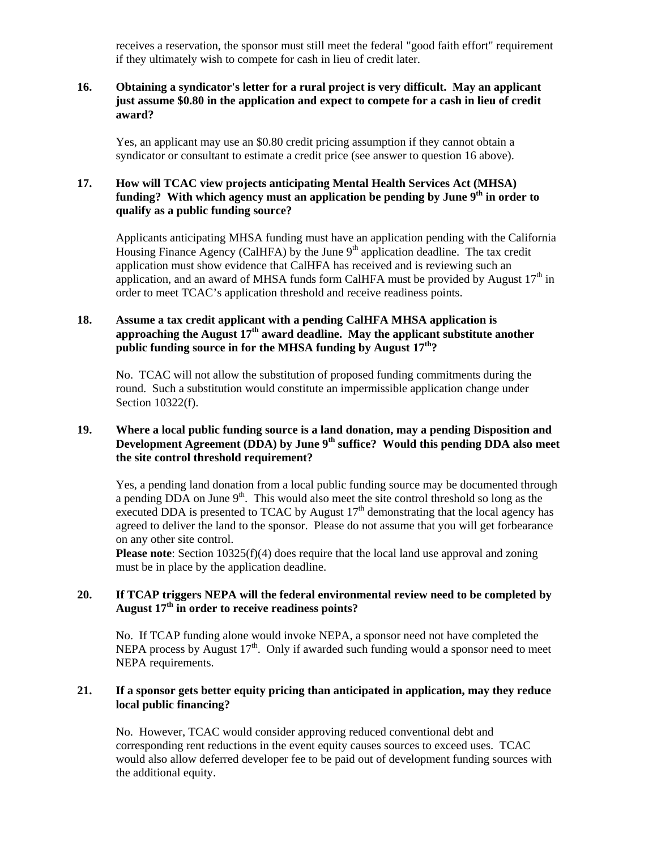receives a reservation, the sponsor must still meet the federal "good faith effort" requirement if they ultimately wish to compete for cash in lieu of credit later.

### **16. Obtaining a syndicator's letter for a rural project is very difficult. May an applicant just assume \$0.80 in the application and expect to compete for a cash in lieu of credit award?**

Yes, an applicant may use an \$0.80 credit pricing assumption if they cannot obtain a syndicator or consultant to estimate a credit price (see answer to question 16 above).

### **17. How will TCAC view projects anticipating Mental Health Services Act (MHSA)**  funding? With which agency must an application be pending by June 9<sup>th</sup> in order to **qualify as a public funding source?**

Applicants anticipating MHSA funding must have an application pending with the California Housing Finance Agency (CalHFA) by the June 9<sup>th</sup> application deadline. The tax credit application must show evidence that CalHFA has received and is reviewing such an application, and an award of MHSA funds form CalHFA must be provided by August  $17<sup>th</sup>$  in order to meet TCAC's application threshold and receive readiness points.

### **18. Assume a tax credit applicant with a pending CalHFA MHSA application is approaching the August 17th award deadline. May the applicant substitute another public funding source in for the MHSA funding by August 17th?**

No. TCAC will not allow the substitution of proposed funding commitments during the round. Such a substitution would constitute an impermissible application change under Section 10322(f).

### **19. Where a local public funding source is a land donation, may a pending Disposition and Development Agreement (DDA) by June 9th suffice? Would this pending DDA also meet the site control threshold requirement?**

Yes, a pending land donation from a local public funding source may be documented through a pending  $DDA$  on June  $9<sup>th</sup>$ . This would also meet the site control threshold so long as the executed DDA is presented to TCAC by August  $17<sup>th</sup>$  demonstrating that the local agency has agreed to deliver the land to the sponsor. Please do not assume that you will get forbearance on any other site control.

**Please note**: Section 10325(f)(4) does require that the local land use approval and zoning must be in place by the application deadline.

### **20. If TCAP triggers NEPA will the federal environmental review need to be completed by August 17th in order to receive readiness points?**

No. If TCAP funding alone would invoke NEPA, a sponsor need not have completed the NEPA process by August  $17<sup>th</sup>$ . Only if awarded such funding would a sponsor need to meet NEPA requirements.

### **21. If a sponsor gets better equity pricing than anticipated in application, may they reduce local public financing?**

No. However, TCAC would consider approving reduced conventional debt and corresponding rent reductions in the event equity causes sources to exceed uses. TCAC would also allow deferred developer fee to be paid out of development funding sources with the additional equity.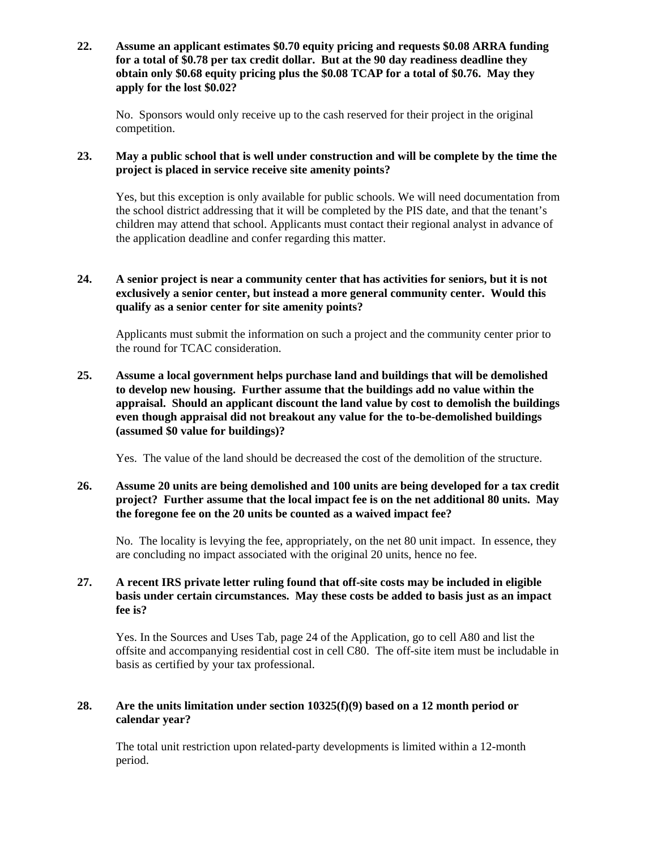**22. Assume an applicant estimates \$0.70 equity pricing and requests \$0.08 ARRA funding for a total of \$0.78 per tax credit dollar. But at the 90 day readiness deadline they obtain only \$0.68 equity pricing plus the \$0.08 TCAP for a total of \$0.76. May they apply for the lost \$0.02?** 

No. Sponsors would only receive up to the cash reserved for their project in the original competition.

### **23. May a public school that is well under construction and will be complete by the time the project is placed in service receive site amenity points?**

Yes, but this exception is only available for public schools. We will need documentation from the school district addressing that it will be completed by the PIS date, and that the tenant's children may attend that school. Applicants must contact their regional analyst in advance of the application deadline and confer regarding this matter.

### **24. A senior project is near a community center that has activities for seniors, but it is not exclusively a senior center, but instead a more general community center. Would this qualify as a senior center for site amenity points?**

Applicants must submit the information on such a project and the community center prior to the round for TCAC consideration.

### **25. Assume a local government helps purchase land and buildings that will be demolished to develop new housing. Further assume that the buildings add no value within the appraisal. Should an applicant discount the land value by cost to demolish the buildings even though appraisal did not breakout any value for the to-be-demolished buildings (assumed \$0 value for buildings)?**

Yes. The value of the land should be decreased the cost of the demolition of the structure.

### **26. Assume 20 units are being demolished and 100 units are being developed for a tax credit project? Further assume that the local impact fee is on the net additional 80 units. May the foregone fee on the 20 units be counted as a waived impact fee?**

No. The locality is levying the fee, appropriately, on the net 80 unit impact. In essence, they are concluding no impact associated with the original 20 units, hence no fee.

### **27. A recent IRS private letter ruling found that off-site costs may be included in eligible basis under certain circumstances. May these costs be added to basis just as an impact fee is?**

Yes. In the Sources and Uses Tab, page 24 of the Application, go to cell A80 and list the offsite and accompanying residential cost in cell C80. The off-site item must be includable in basis as certified by your tax professional.

## **28. Are the units limitation under section 10325(f)(9) based on a 12 month period or calendar year?**

The total unit restriction upon related-party developments is limited within a 12-month period.